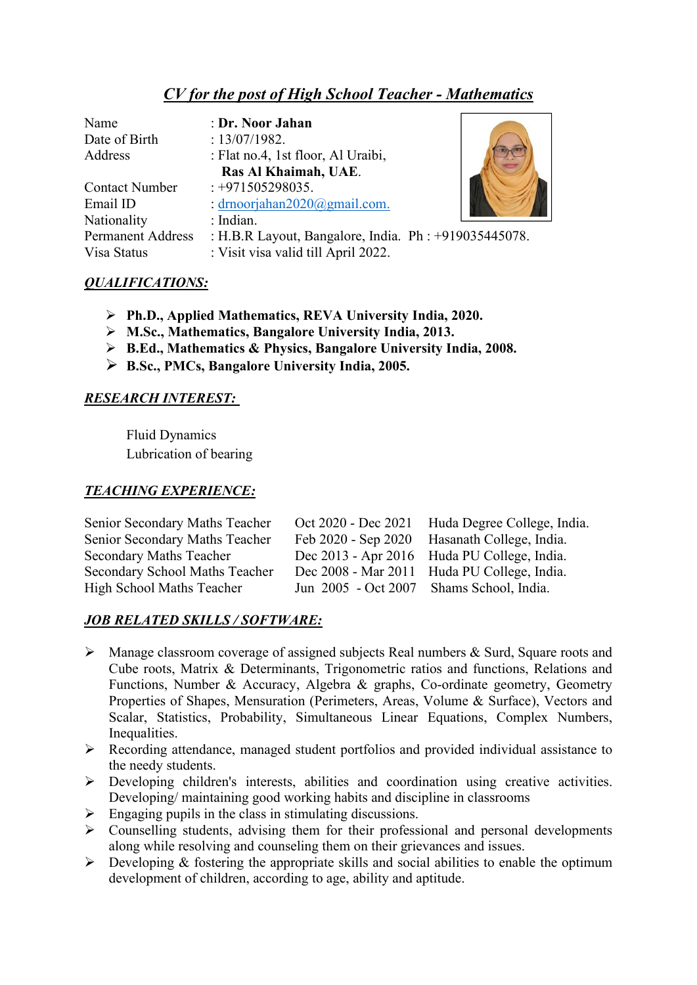# *CV for the post of High School Teacher - Mathematics*

| Name<br>Date of Birth<br>Address | : Dr. Noor Jahan<br>: 13/07/1982.<br>: Flat no.4, 1st floor, Al Uraibi,<br>Ras Al Khaimah, UAE. |  |  |
|----------------------------------|-------------------------------------------------------------------------------------------------|--|--|
| <b>Contact Number</b>            | $: +971505298035.$                                                                              |  |  |
| Email ID                         | : drnoorjahan2020@gmail.com.                                                                    |  |  |
| Nationality                      | : Indian.                                                                                       |  |  |
| <b>Permanent Address</b>         | : H.B.R Layout, Bangalore, India. Ph : +919035445078.                                           |  |  |
| Visa Status                      | : Visit visa valid till April 2022.                                                             |  |  |

#### *QUALIFICATIONS:*

- **Ph.D., Applied Mathematics, REVA University India, 2020.**
- **M.Sc., Mathematics, Bangalore University India, 2013.**
- **B.Ed., Mathematics & Physics, Bangalore University India, 2008.**
- **B.Sc., PMCs, Bangalore University India, 2005.**

### *RESEARCH INTEREST:*

Fluid Dynamics Lubrication of bearing

#### *TEACHING EXPERIENCE:*

| Senior Secondary Maths Teacher |                                          | Oct 2020 - Dec 2021 Huda Degree College, India. |
|--------------------------------|------------------------------------------|-------------------------------------------------|
| Senior Secondary Maths Teacher |                                          | Feb 2020 - Sep 2020 Hasanath College, India.    |
| Secondary Maths Teacher        |                                          | Dec 2013 - Apr 2016 Huda PU College, India.     |
| Secondary School Maths Teacher |                                          | Dec 2008 - Mar 2011 Huda PU College, India.     |
| High School Maths Teacher      | Jun 2005 - Oct 2007 Shams School, India. |                                                 |

#### *JOB RELATED SKILLS / SOFTWARE:*

- $\triangleright$  Manage classroom coverage of assigned subjects Real numbers & Surd, Square roots and Cube roots, Matrix & Determinants, Trigonometric ratios and functions, Relations and Functions, Number & Accuracy, Algebra & graphs, Co-ordinate geometry, Geometry Properties of Shapes, Mensuration (Perimeters, Areas, Volume & Surface), Vectors and Scalar, Statistics, Probability, Simultaneous Linear Equations, Complex Numbers, Inequalities.
- $\triangleright$  Recording attendance, managed student portfolios and provided individual assistance to the needy students.
- $\triangleright$  Developing children's interests, abilities and coordination using creative activities. Developing/ maintaining good working habits and discipline in classrooms
- $\triangleright$  Engaging pupils in the class in stimulating discussions.
- $\triangleright$  Counselling students, advising them for their professional and personal developments along while resolving and counseling them on their grievances and issues.
- $\triangleright$  Developing & fostering the appropriate skills and social abilities to enable the optimum development of children, according to age, ability and aptitude.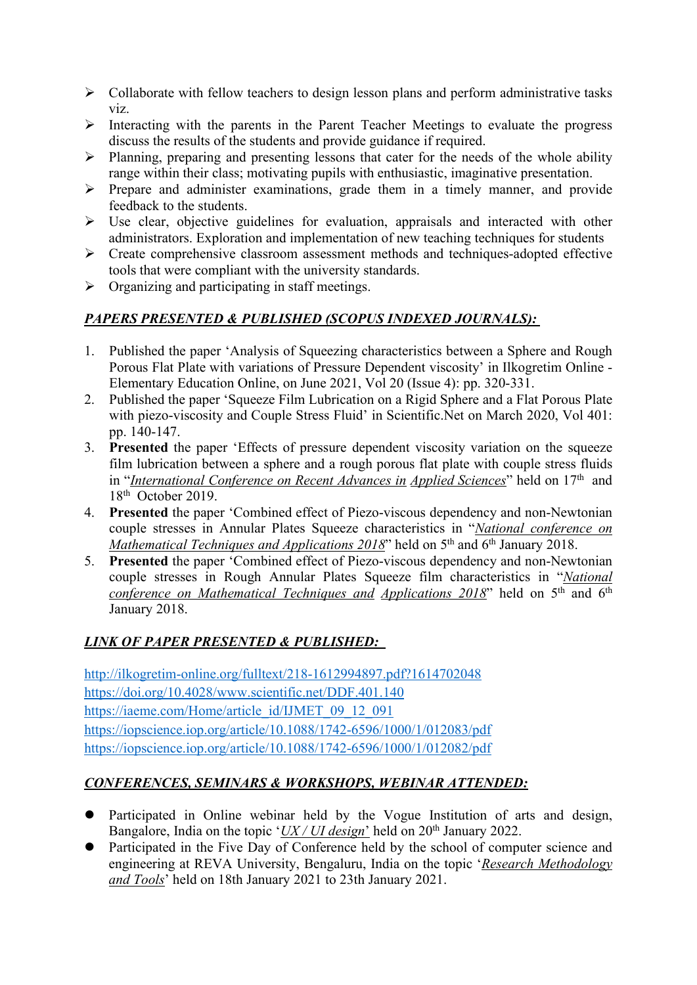- $\triangleright$  Collaborate with fellow teachers to design lesson plans and perform administrative tasks viz.
- $\triangleright$  Interacting with the parents in the Parent Teacher Meetings to evaluate the progress discuss the results of the students and provide guidance if required.
- $\triangleright$  Planning, preparing and presenting lessons that cater for the needs of the whole ability range within their class; motivating pupils with enthusiastic, imaginative presentation.
- $\triangleright$  Prepare and administer examinations, grade them in a timely manner, and provide feedback to the students.
- $\triangleright$  Use clear, objective guidelines for evaluation, appraisals and interacted with other administrators. Exploration and implementation of new teaching techniques for students
- Create comprehensive classroom assessment methods and techniques-adopted effective tools that were compliant with the university standards.
- $\triangleright$  Organizing and participating in staff meetings.

### *PAPERS PRESENTED & PUBLISHED (SCOPUS INDEXED JOURNALS):*

- 1. Published the paper 'Analysis of Squeezing characteristics between a Sphere and Rough Porous Flat Plate with variations of Pressure Dependent viscosity' in Ilkogretim Online -Elementary Education Online, on June 2021, Vol 20 (Issue 4): pp. 320-331.
- 2. Published the paper 'Squeeze Film Lubrication on a Rigid Sphere and a Flat Porous Plate with piezo-viscosity and Couple Stress Fluid' in Scientific.Net on March 2020, Vol 401: pp. 140-147.
- 3. **Presented** the paper 'Effects of pressure dependent viscosity variation on the squeeze film lubrication between a sphere and a rough porous flat plate with couple stress fluids in "*International Conference on Recent Advances in Applied Sciences*" held on 17 th and 18<sup>th</sup> October 2019.
- 4. **Presented** the paper 'Combined effect of Piezo-viscous dependency and non-Newtonian couple stresses in Annular Plates Squeeze characteristics in "*National conference on Mathematical Techniques and Applications 2018*" held on 5 th and 6 th January 2018.
- 5. **Presented** the paper 'Combined effect of Piezo-viscous dependency and non-Newtonian couple stresses in Rough Annular Plates Squeeze film characteristics in "*National conference on Mathematical Techniques and Applications 2018*" held on 5 th and 6 th January 2018.

### *LINK OF PAPER PRESENTED & PUBLISHED:*

<http://ilkogretim-online.org/fulltext/218-1612994897.pdf?1614702048> <https://doi.org/10.4028/www.scientific.net/DDF.401.140> [https://iaeme.com/Home/article\\_id/IJMET\\_09\\_12\\_091](https://iaeme.com/Home/article_id/IJMET_09_12_091) <https://iopscience.iop.org/article/10.1088/1742-6596/1000/1/012083/pdf> <https://iopscience.iop.org/article/10.1088/1742-6596/1000/1/012082/pdf>

### *CONFERENCES, SEMINARS & WORKSHOPS, WEBINAR ATTENDED:*

- Participated in Online webinar held by the Vogue Institution of arts and design, Bangalore, India on the topic '*UX / UI design*' held on 20<sup>th</sup> January 2022.
- Participated in the Five Day of Conference held by the school of computer science and engineering at REVA University, Bengaluru, India on the topic '*Research Methodology and Tools*' held on 18th January 2021 to 23th January 2021.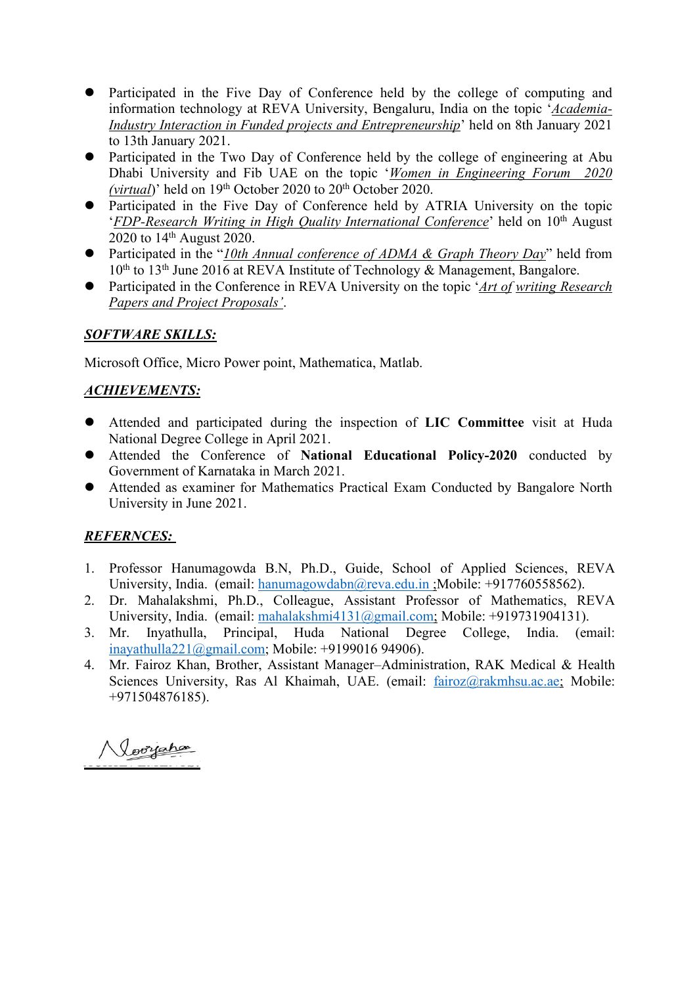- Participated in the Five Day of Conference held by the college of computing and information technology at REVA University, Bengaluru, India on the topic '*Academia-Industry Interaction in Funded projects and Entrepreneurship*' held on 8th January 2021 to 13th January 2021.
- Participated in the Two Day of Conference held by the college of engineering at Abu Dhabi University and Fib UAE on the topic '*Women in Engineering Forum 2020* (*virtual*)' held on 19<sup>th</sup> October 2020 to 20<sup>th</sup> October 2020.
- Participated in the Five Day of Conference held by ATRIA University on the topic '*FDP-Research Writing in High Quality International Conference*' held on 10 th August 2020 to 14 th August 2020.
- Participated in the "*10th Annual conference of ADMA & Graph Theory Day*" held from 10<sup>th</sup> to 13<sup>th</sup> June 2016 at REVA Institute of Technology & Management, Bangalore.
- Participated in the Conference in REVA University on the topic '*Art of writing Research Papers and Project Proposals'*.

### *SOFTWARE SKILLS:*

Microsoft Office, Micro Power point, Mathematica, Matlab.

# *ACHIEVEMENTS:*

- **•** Attended and participated during the inspection of LIC Committee visit at Huda National Degree College in April 2021.
- **•** Attended the Conference of **National Educational Policy-2020** conducted by Government of Karnataka in March 2021.
- Attendedas examiner for Mathematics Practical Exam Conducted by Bangalore North University in June 2021.

### *REFERNCES:*

- 1. Professor Hanumagowda B.N, Ph.D., Guide, School of Applied Sciences, REVA University, India. (email: [hanumagowdabn@reva.edu.in](mailto:hanumagowdabn@reva.edu.in) ;Mobile: +917760558562).
- 2. Dr. Mahalakshmi, Ph.D., Colleague, Assistant Professor of Mathematics, REVA University, India. (email: [mahalakshmi4131@gmail.com;](mailto:mahalakshmi4131@gmail.com) Mobile: +919731904131).
- 3. Mr. Inyathulla, Principal, Huda National Degree College, India. (email: [inayathulla221@gmail.com;](mailto:inayathulla221@gmail.com) Mobile: +9199016 94906).
- 4. Mr. Fairoz Khan, Brother, Assistant Manager–Administration, RAK Medical & Health Sciences University, Ras Al Khaimah, UAE. (email: [fairoz@rakmhsu.ac.ae](mailto:fairoz@rakmhsu.ac.ae); Mobile: +971504876185).

 $\Lambda$ loorjahan